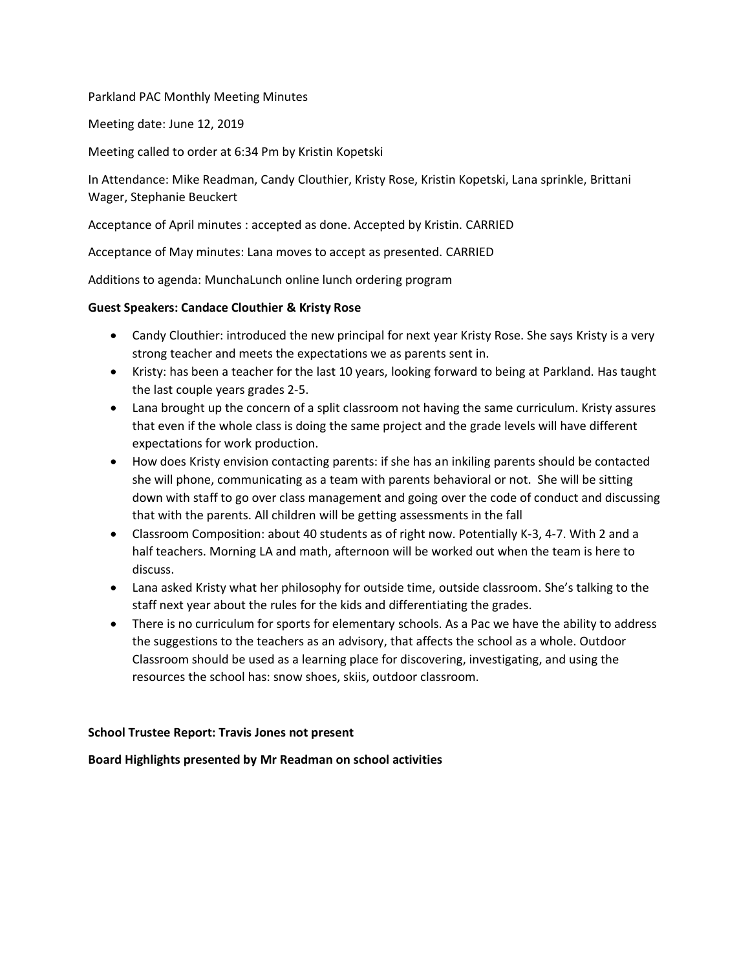### Parkland PAC Monthly Meeting Minutes

Meeting date: June 12, 2019

Meeting called to order at 6:34 Pm by Kristin Kopetski

In Attendance: Mike Readman, Candy Clouthier, Kristy Rose, Kristin Kopetski, Lana sprinkle, Brittani Wager, Stephanie Beuckert

Acceptance of April minutes : accepted as done. Accepted by Kristin. CARRIED

Acceptance of May minutes: Lana moves to accept as presented. CARRIED

Additions to agenda: MunchaLunch online lunch ordering program

## **Guest Speakers: Candace Clouthier & Kristy Rose**

- Candy Clouthier: introduced the new principal for next year Kristy Rose. She says Kristy is a very strong teacher and meets the expectations we as parents sent in.
- Kristy: has been a teacher for the last 10 years, looking forward to being at Parkland. Has taught the last couple years grades 2-5.
- Lana brought up the concern of a split classroom not having the same curriculum. Kristy assures that even if the whole class is doing the same project and the grade levels will have different expectations for work production.
- How does Kristy envision contacting parents: if she has an inkiling parents should be contacted she will phone, communicating as a team with parents behavioral or not. She will be sitting down with staff to go over class management and going over the code of conduct and discussing that with the parents. All children will be getting assessments in the fall
- Classroom Composition: about 40 students as of right now. Potentially K-3, 4-7. With 2 and a half teachers. Morning LA and math, afternoon will be worked out when the team is here to discuss.
- Lana asked Kristy what her philosophy for outside time, outside classroom. She's talking to the staff next year about the rules for the kids and differentiating the grades.
- There is no curriculum for sports for elementary schools. As a Pac we have the ability to address the suggestions to the teachers as an advisory, that affects the school as a whole. Outdoor Classroom should be used as a learning place for discovering, investigating, and using the resources the school has: snow shoes, skiis, outdoor classroom.

### **School Trustee Report: Travis Jones not present**

# **Board Highlights presented by Mr Readman on school activities**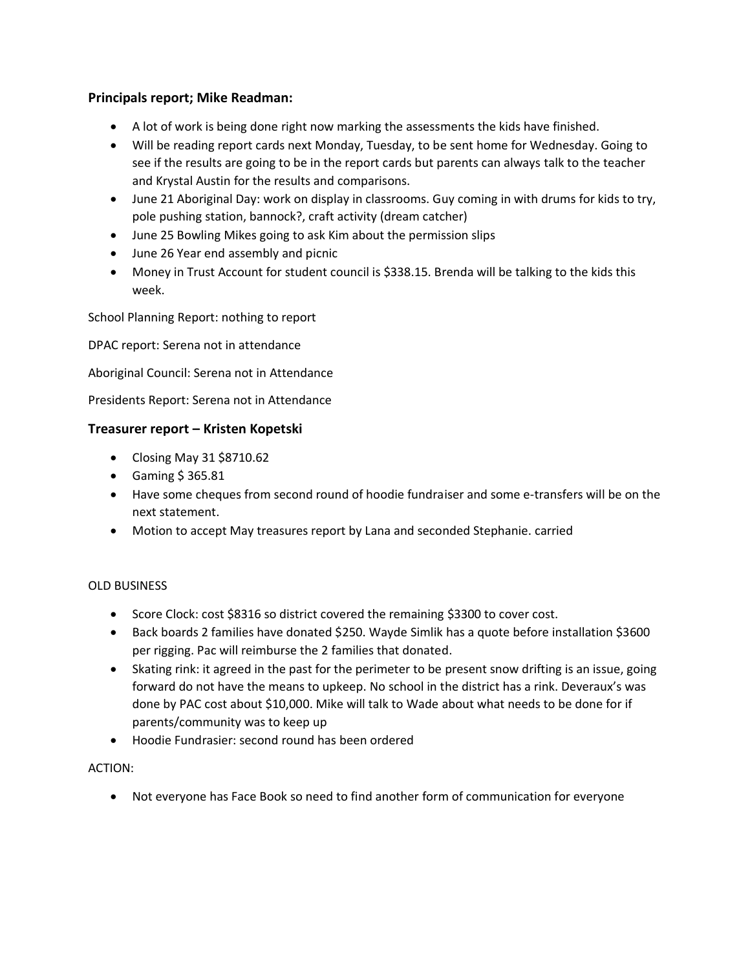# **Principals report; Mike Readman:**

- A lot of work is being done right now marking the assessments the kids have finished.
- Will be reading report cards next Monday, Tuesday, to be sent home for Wednesday. Going to see if the results are going to be in the report cards but parents can always talk to the teacher and Krystal Austin for the results and comparisons.
- June 21 Aboriginal Day: work on display in classrooms. Guy coming in with drums for kids to try, pole pushing station, bannock?, craft activity (dream catcher)
- June 25 Bowling Mikes going to ask Kim about the permission slips
- June 26 Year end assembly and picnic
- Money in Trust Account for student council is \$338.15. Brenda will be talking to the kids this week.

School Planning Report: nothing to report

DPAC report: Serena not in attendance

Aboriginal Council: Serena not in Attendance

Presidents Report: Serena not in Attendance

### **Treasurer report – Kristen Kopetski**

- Closing May 31 \$8710.62
- Gaming \$ 365.81
- Have some cheques from second round of hoodie fundraiser and some e-transfers will be on the next statement.
- Motion to accept May treasures report by Lana and seconded Stephanie. carried

### OLD BUSINESS

- Score Clock: cost \$8316 so district covered the remaining \$3300 to cover cost.
- Back boards 2 families have donated \$250. Wayde Simlik has a quote before installation \$3600 per rigging. Pac will reimburse the 2 families that donated.
- Skating rink: it agreed in the past for the perimeter to be present snow drifting is an issue, going forward do not have the means to upkeep. No school in the district has a rink. Deveraux's was done by PAC cost about \$10,000. Mike will talk to Wade about what needs to be done for if parents/community was to keep up
- Hoodie Fundrasier: second round has been ordered

### ACTION:

• Not everyone has Face Book so need to find another form of communication for everyone